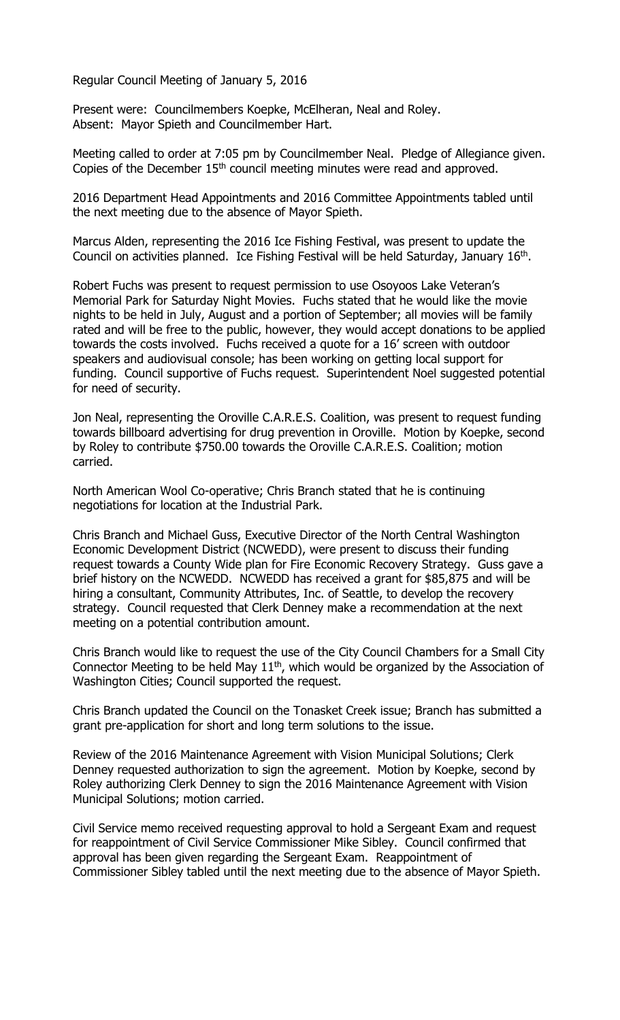Regular Council Meeting of January 5, 2016

Present were: Councilmembers Koepke, McElheran, Neal and Roley. Absent: Mayor Spieth and Councilmember Hart.

Meeting called to order at 7:05 pm by Councilmember Neal. Pledge of Allegiance given. Copies of the December 15<sup>th</sup> council meeting minutes were read and approved.

2016 Department Head Appointments and 2016 Committee Appointments tabled until the next meeting due to the absence of Mayor Spieth.

Marcus Alden, representing the 2016 Ice Fishing Festival, was present to update the Council on activities planned. Ice Fishing Festival will be held Saturday, January 16<sup>th</sup>.

Robert Fuchs was present to request permission to use Osoyoos Lake Veteran's Memorial Park for Saturday Night Movies. Fuchs stated that he would like the movie nights to be held in July, August and a portion of September; all movies will be family rated and will be free to the public, however, they would accept donations to be applied towards the costs involved. Fuchs received a quote for a 16' screen with outdoor speakers and audiovisual console; has been working on getting local support for funding. Council supportive of Fuchs request. Superintendent Noel suggested potential for need of security.

Jon Neal, representing the Oroville C.A.R.E.S. Coalition, was present to request funding towards billboard advertising for drug prevention in Oroville. Motion by Koepke, second by Roley to contribute \$750.00 towards the Oroville C.A.R.E.S. Coalition; motion carried.

North American Wool Co-operative; Chris Branch stated that he is continuing negotiations for location at the Industrial Park.

Chris Branch and Michael Guss, Executive Director of the North Central Washington Economic Development District (NCWEDD), were present to discuss their funding request towards a County Wide plan for Fire Economic Recovery Strategy. Guss gave a brief history on the NCWEDD. NCWEDD has received a grant for \$85,875 and will be hiring a consultant, Community Attributes, Inc. of Seattle, to develop the recovery strategy. Council requested that Clerk Denney make a recommendation at the next meeting on a potential contribution amount.

Chris Branch would like to request the use of the City Council Chambers for a Small City Connector Meeting to be held May  $11<sup>th</sup>$ , which would be organized by the Association of Washington Cities; Council supported the request.

Chris Branch updated the Council on the Tonasket Creek issue; Branch has submitted a grant pre-application for short and long term solutions to the issue.

Review of the 2016 Maintenance Agreement with Vision Municipal Solutions; Clerk Denney requested authorization to sign the agreement. Motion by Koepke, second by Roley authorizing Clerk Denney to sign the 2016 Maintenance Agreement with Vision Municipal Solutions; motion carried.

Civil Service memo received requesting approval to hold a Sergeant Exam and request for reappointment of Civil Service Commissioner Mike Sibley. Council confirmed that approval has been given regarding the Sergeant Exam. Reappointment of Commissioner Sibley tabled until the next meeting due to the absence of Mayor Spieth.